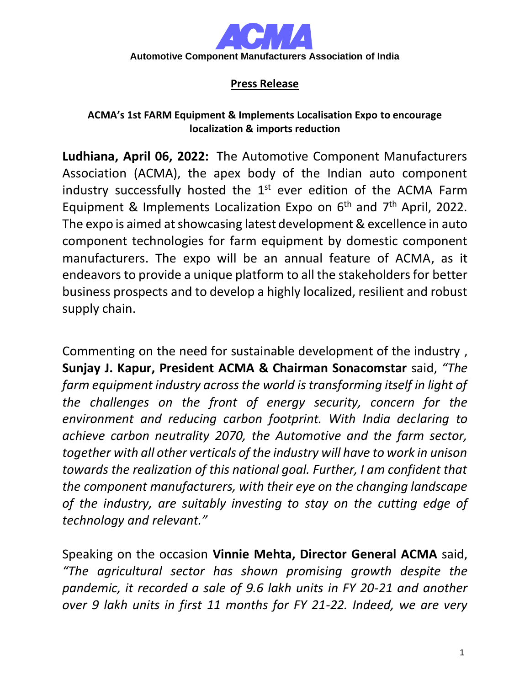

## **Press Release**

## **ACMA's 1st FARM Equipment & Implements Localisation Expo to encourage localization & imports reduction**

**Ludhiana, April 06, 2022:** The Automotive Component Manufacturers Association (ACMA), the apex body of the Indian auto component industry successfully hosted the  $1<sup>st</sup>$  ever edition of the ACMA Farm Equipment & Implements Localization Expo on  $6<sup>th</sup>$  and  $7<sup>th</sup>$  April, 2022. The expo is aimed at showcasing latest development & excellence in auto component technologies for farm equipment by domestic component manufacturers. The expo will be an annual feature of ACMA, as it endeavors to provide a unique platform to all the stakeholders for better business prospects and to develop a highly localized, resilient and robust supply chain.

Commenting on the need for sustainable development of the industry , **Sunjay J. Kapur, President ACMA & Chairman Sonacomstar** said, *"The farm equipment industry across the world is transforming itself in light of the challenges on the front of energy security, concern for the environment and reducing carbon footprint. With India declaring to achieve carbon neutrality 2070, the Automotive and the farm sector, together with all other verticals of the industry will have to work in unison towards the realization of this national goal. Further, I am confident that the component manufacturers, with their eye on the changing landscape of the industry, are suitably investing to stay on the cutting edge of technology and relevant."*

Speaking on the occasion **Vinnie Mehta, Director General ACMA** said, *"The agricultural sector has shown promising growth despite the pandemic, it recorded a sale of 9.6 lakh units in FY 20-21 and another over 9 lakh units in first 11 months for FY 21-22. Indeed, we are very*